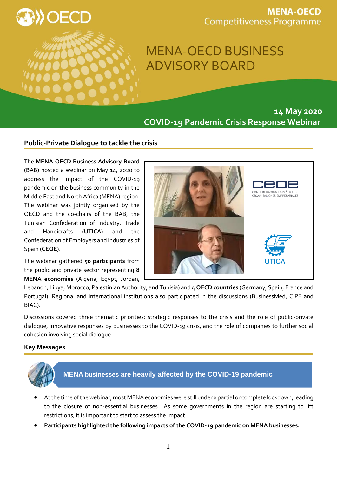

## **MENA-OECD Competitiveness Programme**

# MENA-OECD BUSINESS ADVISORY BOARD

**14 May 2020 COVID-19 Pandemic Crisis Response Webinar**

### **Public-Private Dialogue to tackle the crisis**

#### The **MENA-OECD Business Advisory Board**

(BAB) hosted a webinar on May 14, 2020 to address the impact of the COVID-19 pandemic on the business community in the Middle East and North Africa (MENA) region. The webinar was jointly organised by the OECD and the co-chairs of the BAB, the Tunisian Confederation of Industry, Trade and Handicrafts (**UTICA**) and the Confederation of Employers and Industries of Spain (**CEOE**).

The webinar gathered **50 participants** from the public and private sector representing **8 MENA economies** (Algeria, Egypt, Jordan,



Lebanon, Libya, Morocco, Palestinian Authority, and Tunisia) and **4 OECD countries** (Germany, Spain, France and Portugal). Regional and international institutions also participated in the discussions (BusinessMed, CIPE and BIAC).

Discussions covered three thematic priorities: strategic responses to the crisis and the role of public-private dialogue, innovative responses by businesses to the COVID-19 crisis, and the role of companies to further social cohesion involving social dialogue.

#### **Key Messages**



- At the time of the webinar, most MENA economies were still under a partial or complete lockdown, leading to the closure of non-essential businesses.. As some governments in the region are starting to lift restrictions, it is important to start to assess the impact.
- **Participants highlighted the following impacts of the COVID-19 pandemic on MENA businesses:**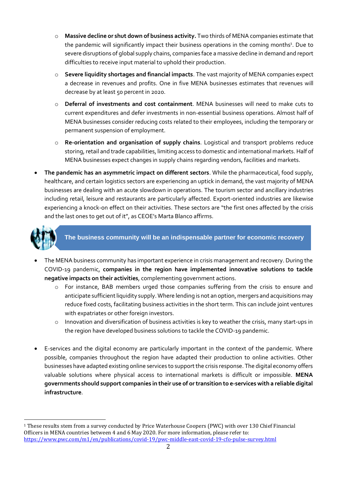- o **Massive decline or shut down of business activity.** Two thirds of MENA companies estimate that the pandemic will significantly impact their business operations in the coming months<sup>1</sup>. Due to severe disruptions of global supply chains, companies face a massive decline in demand and report difficulties to receive input material to uphold their production.
- o **Severe liquidity shortages and financial impacts**. The vast majority of MENA companies expect a decrease in revenues and profits. One in five MENA businesses estimates that revenues will decrease by at least 50 percent in 2020.
- o **Deferral of investments and cost containment**. MENA businesses will need to make cuts to current expenditures and defer investments in non-essential business operations. Almost half of MENA businesses consider reducing costs related to their employees, including the temporary or permanent suspension of employment.
- o **Re-orientation and organisation of supply chains**. Logistical and transport problems reduce storing, retail and trade capabilities, limiting access to domestic and international markets. Half of MENA businesses expect changes in supply chains regarding vendors, facilities and markets.
- **The pandemic has an asymmetric impact on different sectors**. While the pharmaceutical, food supply, healthcare, and certain logistics sectors are experiencing an uptick in demand, the vast majority of MENA businesses are dealing with an acute slowdown in operations. The tourism sector and ancillary industries including retail, leisure and restaurants are particularly affected. Export-oriented industries are likewise experiencing a knock-on effect on their activities. These sectors are "the first ones affected by the crisis and the last ones to get out of it", as CEOE's Marta Blanco affirms.



l

**The business community will be an indispensable partner for economic recovery** 

- The MENA business community has important experience in crisis management and recovery. During the COVID-19 pandemic, **companies in the region have implemented innovative solutions to tackle negative impacts on their activities**, complementing government actions.
	- o For instance, BAB members urged those companies suffering from the crisis to ensure and anticipate sufficient liquidity supply. Where lending is not an option, mergers and acquisitions may reduce fixed costs, facilitating business activities in the short term. This can include joint ventures with expatriates or other foreign investors.
	- o Innovation and diversification of business activities is key to weather the crisis, many start-ups in the region have developed business solutions to tackle the COVID-19 pandemic.
- E-services and the digital economy are particularly important in the context of the pandemic. Where possible, companies throughout the region have adapted their production to online activities. Other businesses have adapted existing online services to support the crisis response. The digital economy offers valuable solutions where physical access to international markets is difficult or impossible. **MENA governments should support companies in their use of or transition to e-services with a reliable digital infrastructure**.

<sup>1</sup> These results stem from a survey conducted by Price Waterhouse Coopers (PWC) with over 130 Chief Financial Officers in MENA countries between 4 and 6 May 2020. For more information, please refer to: <https://www.pwc.com/m1/en/publications/covid-19/pwc-middle-east-covid-19-cfo-pulse-survey.html>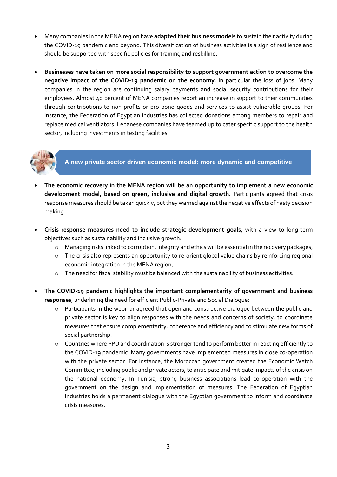- Many companies in the MENA region have **adapted their business models** to sustain their activity during the COVID-19 pandemic and beyond. This diversification of business activities is a sign of resilience and should be supported with specific policies for training and reskilling.
- **Businesses have taken on more social responsibility to support government action to overcome the negative impact of the COVID-19 pandemic on the economy**, in particular the loss of jobs. Many companies in the region are continuing salary payments and social security contributions for their employees. Almost 40 percent of MENA companies report an increase in support to their communities through contributions to non-profits or pro bono goods and services to assist vulnerable groups. For instance, the Federation of Egyptian Industries has collected donations among members to repair and replace medical ventilators. Lebanese companies have teamed up to cater specific support to the health sector, including investments in testing facilities.



**A new private sector driven economic model: more dynamic and competitive**

- **The economic recovery in the MENA region will be an opportunity to implement a new economic development model, based on green, inclusive and digital growth.** Participants agreed that crisis response measures should be taken quickly, but they warned against the negative effects of hasty decision making.
- **Crisis response measures need to include strategic development goals**, with a view to long-term objectives such as sustainability and inclusive growth:
	- o Managing risks linked to corruption, integrity and ethics will be essential in the recovery packages,
	- o The crisis also represents an opportunity to re-orient global value chains by reinforcing regional economic integration in the MENA region,
	- o The need for fiscal stability must be balanced with the sustainability of business activities.
- **The COVID-19 pandemic highlights the important complementarity of government and business responses**, underlining the need for efficient Public-Private and Social Dialogue:
	- o Participants in the webinar agreed that open and constructive dialogue between the public and private sector is key to align responses with the needs and concerns of society, to coordinate measures that ensure complementarity, coherence and efficiency and to stimulate new forms of social partnership.
	- o Countries where PPD and coordination is stronger tend to perform better in reacting efficiently to the COVID-19 pandemic. Many governments have implemented measures in close co-operation with the private sector. For instance, the Moroccan government created the Economic Watch Committee, including public and private actors, to anticipate and mitigate impacts of the crisis on the national economy. In Tunisia, strong business associations lead co-operation with the government on the design and implementation of measures. The Federation of Egyptian Industries holds a permanent dialogue with the Egyptian government to inform and coordinate crisis measures.